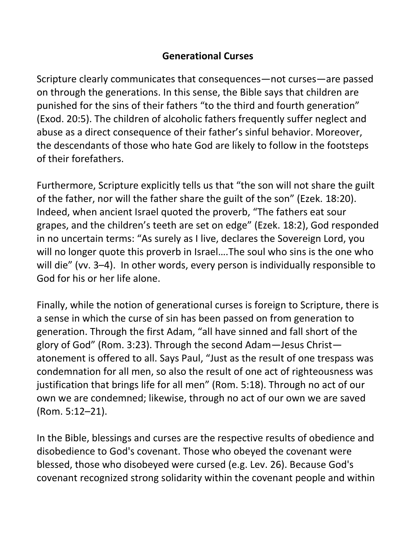## **Generational Curses**

Scripture clearly communicates that consequences—not curses—are passed on through the generations. In this sense, the Bible says that children are punished for the sins of their fathers "to the third and fourth generation" (Exod. 20:5). The children of alcoholic fathers frequently suffer neglect and abuse as a direct consequence of their father's sinful behavior. Moreover, the descendants of those who hate God are likely to follow in the footsteps of their forefathers.

Furthermore, Scripture explicitly tells us that "the son will not share the guilt of the father, nor will the father share the guilt of the son" (Ezek. 18:20). Indeed, when ancient Israel quoted the proverb, "The fathers eat sour grapes, and the children's teeth are set on edge" (Ezek. 18:2), God responded in no uncertain terms: "As surely as I live, declares the Sovereign Lord, you will no longer quote this proverb in Israel….The soul who sins is the one who will die" (vv. 3-4). In other words, every person is individually responsible to God for his or her life alone.

Finally, while the notion of generational curses is foreign to Scripture, there is a sense in which the curse of sin has been passed on from generation to generation. Through the first Adam, "all have sinned and fall short of the glory of God" (Rom. 3:23). Through the second Adam—Jesus Christ atonement is offered to all. Says Paul, "Just as the result of one trespass was condemnation for all men, so also the result of one act of righteousness was justification that brings life for all men" (Rom. 5:18). Through no act of our own we are condemned; likewise, through no act of our own we are saved (Rom. 5:12–21).

In the Bible, blessings and curses are the respective results of obedience and disobedience to God's covenant. Those who obeyed the covenant were blessed, those who disobeyed were cursed (e.g. Lev. 26). Because God's covenant recognized strong solidarity within the covenant people and within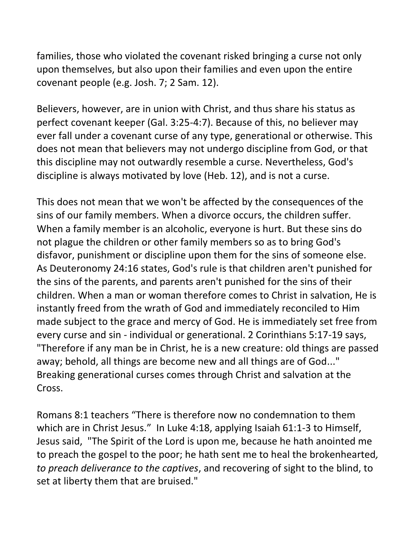families, those who violated the covenant risked bringing a curse not only upon themselves, but also upon their families and even upon the entire covenant people (e.g. Josh. 7; 2 Sam. 12).

Believers, however, are in union with Christ, and thus share his status as perfect covenant keeper (Gal. 3:25-4:7). Because of this, no believer may ever fall under a covenant curse of any type, generational or otherwise. This does not mean that believers may not undergo discipline from God, or that this discipline may not outwardly resemble a curse. Nevertheless, God's discipline is always motivated by love (Heb. 12), and is not a curse.

This does not mean that we won't be affected by the consequences of the sins of our family members. When a divorce occurs, the children suffer. When a family member is an alcoholic, everyone is hurt. But these sins do not plague the children or other family members so as to bring God's disfavor, punishment or discipline upon them for the sins of someone else. As Deuteronomy 24:16 states, God's rule is that children aren't punished for the sins of the parents, and parents aren't punished for the sins of their children. When a man or woman therefore comes to Christ in salvation, He is instantly freed from the wrath of God and immediately reconciled to Him made subject to the grace and mercy of God. He is immediately set free from every curse and sin - individual or generational. 2 Corinthians 5:17-19 says, "Therefore if any man be in Christ, he is a new creature: old things are passed away; behold, all things are become new and all things are of God..." Breaking generational curses comes through Christ and salvation at the Cross.

Romans 8:1 teachers "There is therefore now no condemnation to them which are in Christ Jesus." In Luke 4:18, applying Isaiah 61:1-3 to Himself, Jesus said, "The Spirit of the Lord is upon me, because he hath anointed me to preach the gospel to the poor; he hath sent me to heal the brokenhearted*, to preach deliverance to the captives*, and recovering of sight to the blind, to set at liberty them that are bruised."